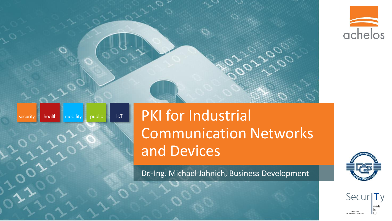



#### $I \circ T$ health mobility public security

# PKI for Industrial Communication Networks and Devices

Dr.-Ing. Michael Jahnich, Business Development



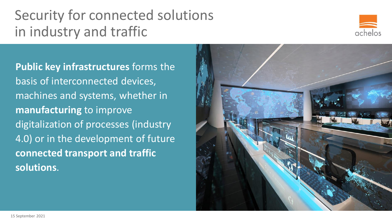## Security for connected solutions in industry and traffic



**Public key infrastructures** forms the basis of interconnected devices, machines and systems, whether in **manufacturing** to improve digitalization of processes (industry 4.0) or in the development of future **connected transport and traffic solutions**.

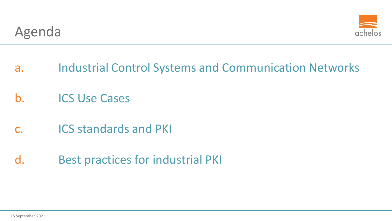

- a. Industrial Control Systems and Communication Networks
- b. ICS Use Cases
- c. ICS standards and PKI
- d. Best practices for industrial PKI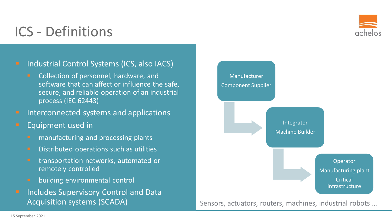

#### ICS - Definitions

#### Industrial Control Systems (ICS, also IACS)

- Collection of personnel, hardware, and software that can affect or influence the safe, secure, and reliable operation of an industrial process (IEC 62443)
- **E** Interconnected systems and applications
- **Equipment used in** 
	- **■** manufacturing and processing plants
	- **■** Distributed operations such as utilities
	- **EXP** transportation networks, automated or remotely controlled
	- **E** building environmental control
- **E** Includes Supervisory Control and Data Acquisition systems (SCADA)



Sensors, actuators, routers, machines, industrial robots …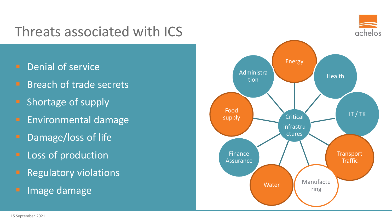#### Threats associated with ICS

- **P** Denial of service
- **E** Breach of trade secrets
- Shortage of supply
- **Environmental damage**
- **E** Damage/loss of life
- **E** Loss of production
- **Regulatory violations**
- Image damage

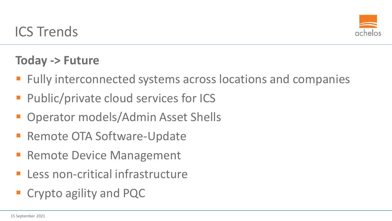

#### **Today -> Future**

- Fully interconnected systems across locations and companies
- Public/private cloud services for ICS
- **Operator models/Admin Asset Shells**
- Remote OTA Software-Update
- **E** Remote Device Management
- Less non-critical infrastructure
- **Exercise 2 Crypto agility and PQC**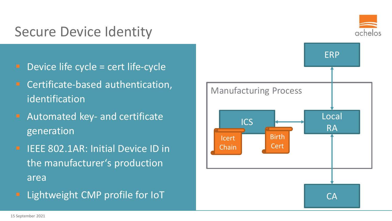#### Secure Device Identity

- Device life cycle = cert life-cycle
- Certificate-based authentication, identification
- Automated key- and certificate generation
- **E** IEEE 802.1AR: Initial Device ID in the manufacturer's production area
- Lightweight CMP profile for IoT



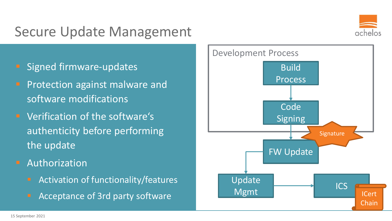#### Secure Update Management



- Signed firmware-updates
- **Pediate 1 Protection against malware and** software modifications
- Verification of the software's authenticity before performing the update
- **E** Authorization
	- Activation of functionality/features
	- Acceptance of 3rd party software

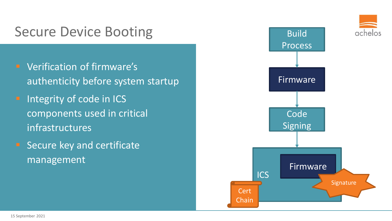#### Secure Device Booting

- Verification of firmware's authenticity before system startup
- **E** Integrity of code in ICS components used in critical infrastructures
- Secure key and certificate management

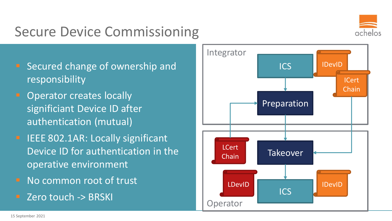### Secure Device Commissioning



- Secured change of ownership and responsibility
- **E** Operator creates locally significiant Device ID after authentication (mutual)
- **E** IEEE 802.1AR: Locally significant Device ID for authentication in the operative environment
- No common root of trust
- Zero touch -> BRSKI

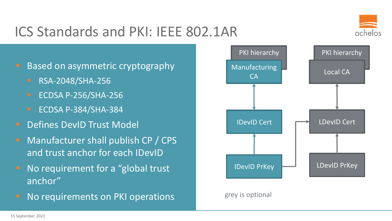### ICS Standards and PKI: IEEE 802.1AR



Based on asymmetric cryptography

- RSA-2048/SHA-256
- ECDSA P-256/SHA-256
- ECDSA P-384/SHA-384
- **E** Defines DevID Trust Model
- Manufacturer shall publish CP / CPS and trust anchor for each IDevID
- No requirement for a "global trust" anchor"
- No requirements on PKI operations



#### grey is optional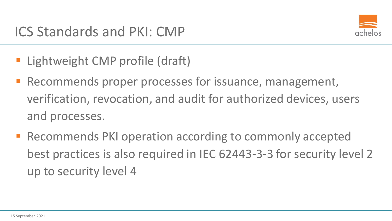

- **E** Lightweight CMP profile (draft)
- **E** Recommends proper processes for issuance, management, verification, revocation, and audit for authorized devices, users and processes.
- Recommends PKI operation according to commonly accepted best practices is also required in IEC 62443-3-3 for security level 2 up to security level 4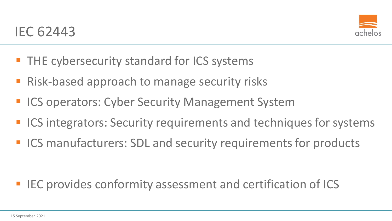

- **THE cybersecurity standard for ICS systems**
- Risk-based approach to manage security risks
- **EX ICS operators: Cyber Security Management System**
- ICS integrators: Security requirements and techniques for systems
- ICS manufacturers: SDL and security requirements for products

#### ■ IEC provides conformity assessment and certification of ICS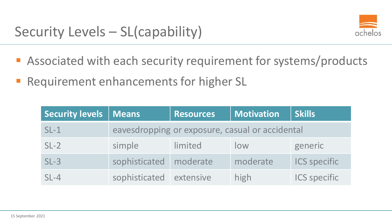

- Associated with each security requirement for systems/products
- **Requirement enhancements for higher SL**

| Security levels | Means                                           | <b>Resources</b> | <b>Motivation</b> | Skills <sup>1</sup> |
|-----------------|-------------------------------------------------|------------------|-------------------|---------------------|
| $SL-1$          | eavesdropping or exposure, casual or accidental |                  |                   |                     |
| $SL-2$          | simple                                          | limited          | low               | generic             |
| $SL-3$          | sophisticated moderate                          |                  | moderate          | <b>ICS specific</b> |
| $SL-4$          | sophisticated                                   | extensive        | high              | <b>ICS specific</b> |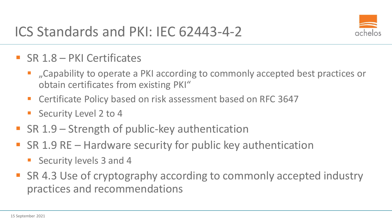

- $\blacksquare$  SR 1.8 PKI Certificates
	- ...Capability to operate a PKI according to commonly accepted best practices or obtain certificates from existing PKI"
	- Certificate Policy based on risk assessment based on RFC 3647
	- Security Level 2 to 4
- **EX 1.9 Strength of public-key authentication**
- SR 1.9 RE Hardware security for public key authentication
	- Security levels 3 and 4
- SR 4.3 Use of cryptography according to commonly accepted industry practices and recommendations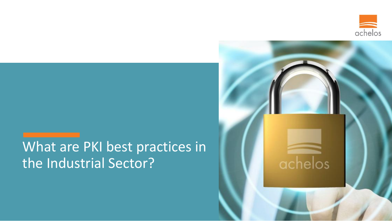

#### What are PKI best practices in the Industrial Sector?

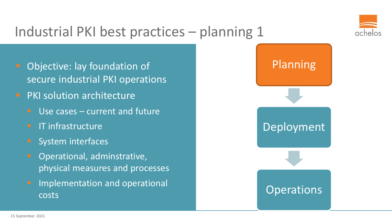

### Industrial PKI best practices – planning 1

- Objective: lay foundation of secure industrial PKI operations
- **PKI solution architecture** 
	- Use cases  $-$  current and future
	- **E** IT infrastructure
	- **System interfaces**
	- Operational, adminstrative, physical measures and processes
	- **Implementation and operational** costs

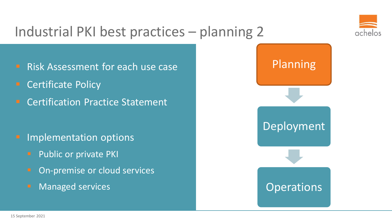

### Industrial PKI best practices – planning 2

- **E** Risk Assessment for each use case
- **Certificate Policy**
- Certification Practice Statement

- Implementation options
	- **•** Public or private PKI
	- On-premise or cloud services
	- **E** Managed services

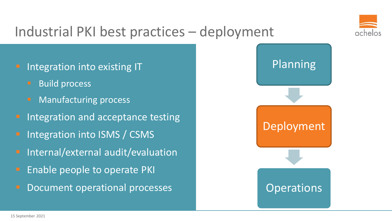

#### Industrial PKI best practices – deployment

Integration into existing IT

- Build process
- **Manufacturing process**
- Integration and acceptance testing
- Integration into ISMS / CSMS
- Internal/external audit/evaluation
- Enable people to operate PKI
- Document operational processes

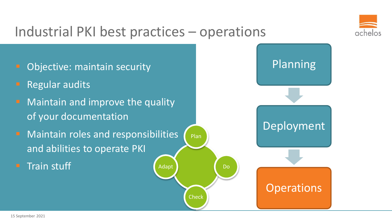

#### Industrial PKI best practices – operations